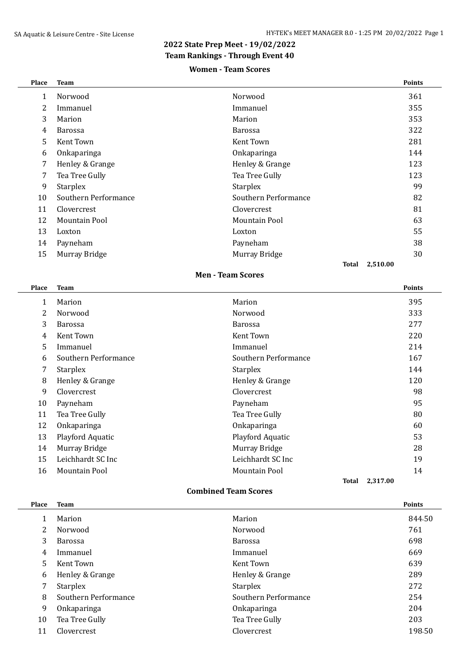$\overline{a}$ 

## **2022 State Prep Meet - 19/02/2022**

## **Team Rankings - Through Event 40**

#### **Women - Team Scores**

| Place        | <b>Team</b>          |                      | <b>Points</b>     |
|--------------|----------------------|----------------------|-------------------|
| $\mathbf{1}$ | Norwood              | Norwood              | 361               |
| 2            | Immanuel             | Immanuel             | 355               |
| 3            | Marion               | Marion               | 353               |
| 4            | <b>Barossa</b>       | <b>Barossa</b>       | 322               |
| 5            | Kent Town            | Kent Town            | 281               |
| 6            | Onkaparinga          | Onkaparinga          | 144               |
| 7            | Henley & Grange      | Henley & Grange      | 123               |
| 7            | Tea Tree Gully       | Tea Tree Gully       | 123               |
| 9            | <b>Starplex</b>      | <b>Starplex</b>      | 99                |
| 10           | Southern Performance | Southern Performance | 82                |
| 11           | Clovercrest          | Clovercrest          | 81                |
| 12           | Mountain Pool        | Mountain Pool        | 63                |
| 13           | Loxton               | Loxton               | 55                |
| 14           | Payneham             | Payneham             | 38                |
| 15           | Murray Bridge        | Murray Bridge        | 30                |
|              |                      |                      | 2,510.00<br>Total |

#### **Men - Team Scores**

| Place | <b>Team</b>          |                      | <b>Points</b>     |
|-------|----------------------|----------------------|-------------------|
| 1     | Marion               | Marion               | 395               |
| 2     | Norwood              | Norwood              | 333               |
| 3     | <b>Barossa</b>       | <b>Barossa</b>       | 277               |
| 4     | Kent Town            | Kent Town            | 220               |
| 5     | Immanuel             | Immanuel             | 214               |
| 6     | Southern Performance | Southern Performance | 167               |
| 7     | <b>Starplex</b>      | <b>Starplex</b>      | 144               |
| 8     | Henley & Grange      | Henley & Grange      | 120               |
| 9     | Clovercrest          | Clovercrest          | 98                |
| 10    | Payneham             | Payneham             | 95                |
| 11    | Tea Tree Gully       | Tea Tree Gully       | 80                |
| 12    | Onkaparinga          | Onkaparinga          | 60                |
| 13    | Playford Aquatic     | Playford Aquatic     | 53                |
| 14    | Murray Bridge        | Murray Bridge        | 28                |
| 15    | Leichhardt SC Inc    | Leichhardt SC Inc    | 19                |
| 16    | Mountain Pool        | <b>Mountain Pool</b> | 14                |
|       |                      |                      | 2,317.00<br>Total |

#### **Combined Team Scores**

| Place | <b>Team</b>          |                      | <b>Points</b> |
|-------|----------------------|----------------------|---------------|
|       | Marion               | Marion               | 844.50        |
| 2     | Norwood              | Norwood              | 761           |
| 3     | Barossa              | <b>Barossa</b>       | 698           |
| 4     | Immanuel             | Immanuel             | 669           |
| .5    | Kent Town            | Kent Town            | 639           |
| 6     | Henley & Grange      | Henley & Grange      | 289           |
| 7     | <b>Starplex</b>      | <b>Starplex</b>      | 272           |
| 8     | Southern Performance | Southern Performance | 254           |
| 9     | Onkaparinga          | Onkaparinga          | 204           |
| 10    | Tea Tree Gully       | Tea Tree Gully       | 203           |
| 11    | Clovercrest          | Clovercrest          | 198.50        |